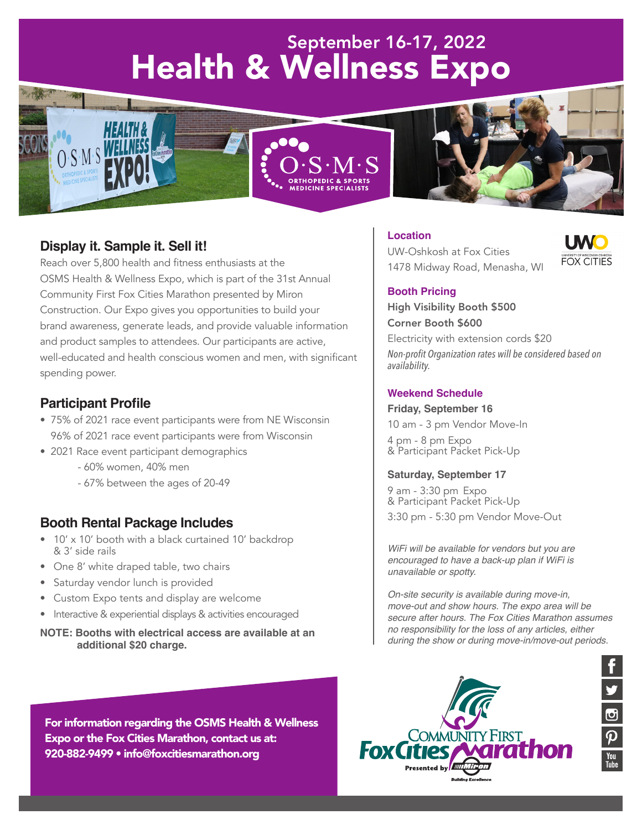# September 16-17, 2022 Health & Wellness Expo







# **Display it. Sample it. Sell it!**

Reach over 5,800 health and fitness enthusiasts at the OSMS Health & Wellness Expo, which is part of the 31st Annual Community First Fox Cities Marathon presented by Miron Construction. Our Expo gives you opportunities to build your brand awareness, generate leads, and provide valuable information and product samples to attendees. Our participants are active, well-educated and health conscious women and men, with significant spending power.

## **Participant Profile**

- 75% of 2021 race event participants were from NE Wisconsin 96% of 2021 race event participants were from Wisconsin
- 2021 Race event participant demographics
	- 60% women, 40% men
	- 67% between the ages of 20-49

## **Booth Rental Package Includes**

- 10' x 10' booth with a black curtained 10' backdrop & 3' side rails
- One 8' white draped table, two chairs
- Saturday vendor lunch is provided
- Custom Expo tents and display are welcome
- Interactive & experiential displays & activities encouraged

#### **NOTE: Booths with electrical access are available at an additional \$20 charge.**

For information regarding the OSMS Health & Wellness Expo or the Fox Cities Marathon, contact us at: 920-882-9499 • info@foxcitiesmarathon.org

# **Location**





 $\overline{\mathbf{p}}$ 

#### **Booth Pricing**

High Visibility Booth \$500 Corner Booth \$600 Electricity with extension cords \$20 *Non-profit Organization rates will be considered based on availability.*

#### **Weekend Schedule**

#### **Friday, September 16**

10 am - 3 pm Vendor Move-In

4 pm - 8 pm Expo & Participant Packet Pick-Up

#### **Saturday, September 17**

9 am - 3:30 pm Expo & Participant Packet Pick-Up 3:30 pm - 5:30 pm Vendor Move-Out

*WiFi will be available for vendors but you are encouraged to have a back-up plan if WiFi is unavailable or spotty.*

*On-site security is available during move-in, move-out and show hours. The expo area will be secure after hours. The Fox Cities Marathon assumes no responsibility for the loss of any articles, either during the show or during move-in/move-out periods.*